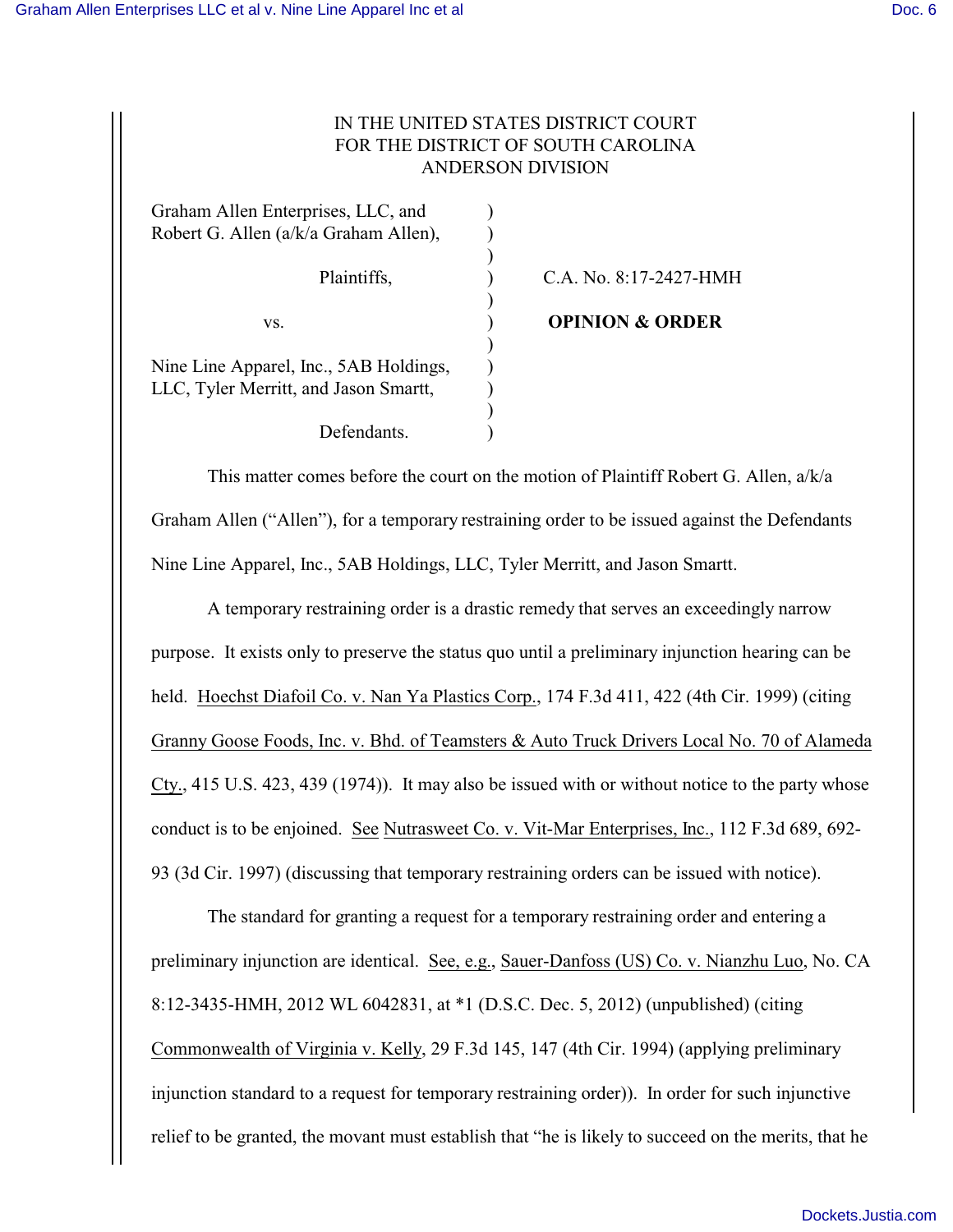## IN THE UNITED STATES DISTRICT COURT FOR THE DISTRICT OF SOUTH CAROLINA ANDERSON DIVISION

Graham Allen Enterprises, LLC, and () Robert G. Allen (a/k/a Graham Allen), ) ) vs. ) **OPINION & ORDER** ) Nine Line Apparel, Inc., 5AB Holdings, ) LLC, Tyler Merritt, and Jason Smartt, ) ) Defendants.

Plaintiffs,  $C.A. No. 8:17-2427-HMH$ 

This matter comes before the court on the motion of Plaintiff Robert G. Allen, a/k/a Graham Allen ("Allen"), for a temporary restraining order to be issued against the Defendants Nine Line Apparel, Inc., 5AB Holdings, LLC, Tyler Merritt, and Jason Smartt.

A temporary restraining order is a drastic remedy that serves an exceedingly narrow purpose. It exists only to preserve the status quo until a preliminary injunction hearing can be held. Hoechst Diafoil Co. v. Nan Ya Plastics Corp., 174 F.3d 411, 422 (4th Cir. 1999) (citing Granny Goose Foods, Inc. v. Bhd. of Teamsters & Auto Truck Drivers Local No. 70 of Alameda Cty., 415 U.S. 423, 439 (1974)). It may also be issued with or without notice to the party whose conduct is to be enjoined. See Nutrasweet Co. v. Vit-Mar Enterprises, Inc., 112 F.3d 689, 692- 93 (3d Cir. 1997) (discussing that temporary restraining orders can be issued with notice).

The standard for granting a request for a temporary restraining order and entering a preliminary injunction are identical. See, e.g., Sauer-Danfoss (US) Co. v. Nianzhu Luo, No. CA 8:12-3435-HMH, 2012 WL 6042831, at \*1 (D.S.C. Dec. 5, 2012) (unpublished) (citing Commonwealth of Virginia v. Kelly, 29 F.3d 145, 147 (4th Cir. 1994) (applying preliminary injunction standard to a request for temporary restraining order)). In order for such injunctive relief to be granted, the movant must establish that "he is likely to succeed on the merits, that he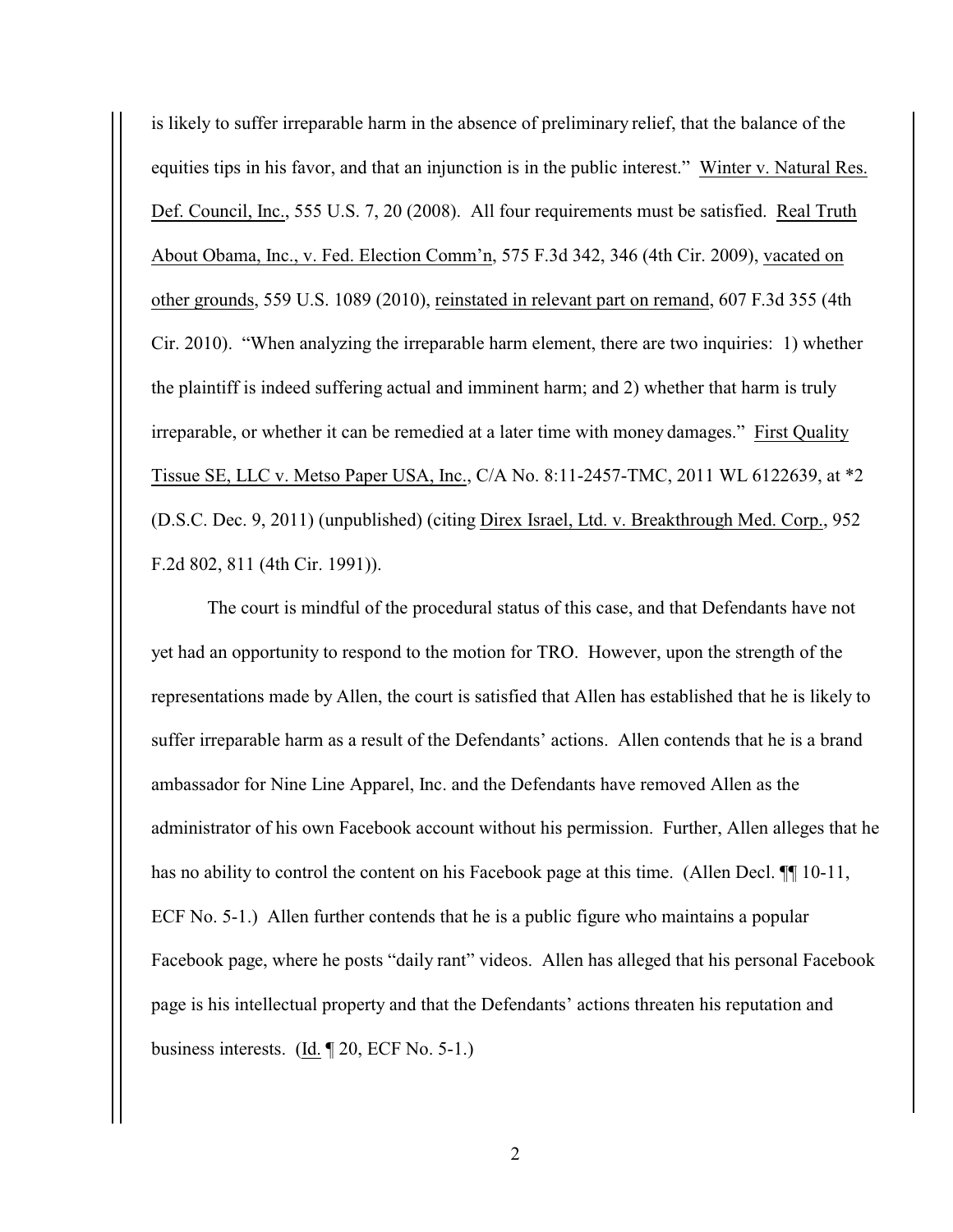is likely to suffer irreparable harm in the absence of preliminary relief, that the balance of the equities tips in his favor, and that an injunction is in the public interest." Winter v. Natural Res. Def. Council, Inc., 555 U.S. 7, 20 (2008). All four requirements must be satisfied. Real Truth About Obama, Inc., v. Fed. Election Comm'n, 575 F.3d 342, 346 (4th Cir. 2009), vacated on other grounds, 559 U.S. 1089 (2010), reinstated in relevant part on remand, 607 F.3d 355 (4th Cir. 2010). "When analyzing the irreparable harm element, there are two inquiries: 1) whether the plaintiff is indeed suffering actual and imminent harm; and 2) whether that harm is truly irreparable, or whether it can be remedied at a later time with money damages." First Quality Tissue SE, LLC v. Metso Paper USA, Inc., C/A No. 8:11-2457-TMC, 2011 WL 6122639, at \*2 (D.S.C. Dec. 9, 2011) (unpublished) (citing Direx Israel, Ltd. v. Breakthrough Med. Corp., 952 F.2d 802, 811 (4th Cir. 1991)).

The court is mindful of the procedural status of this case, and that Defendants have not yet had an opportunity to respond to the motion for TRO. However, upon the strength of the representations made by Allen, the court is satisfied that Allen has established that he is likely to suffer irreparable harm as a result of the Defendants' actions. Allen contends that he is a brand ambassador for Nine Line Apparel, Inc. and the Defendants have removed Allen as the administrator of his own Facebook account without his permission. Further, Allen alleges that he has no ability to control the content on his Facebook page at this time. (Allen Decl.  $\P$  10-11, ECF No. 5-1.) Allen further contends that he is a public figure who maintains a popular Facebook page, where he posts "daily rant" videos. Allen has alleged that his personal Facebook page is his intellectual property and that the Defendants' actions threaten his reputation and business interests. (Id. ¶ 20, ECF No. 5-1.)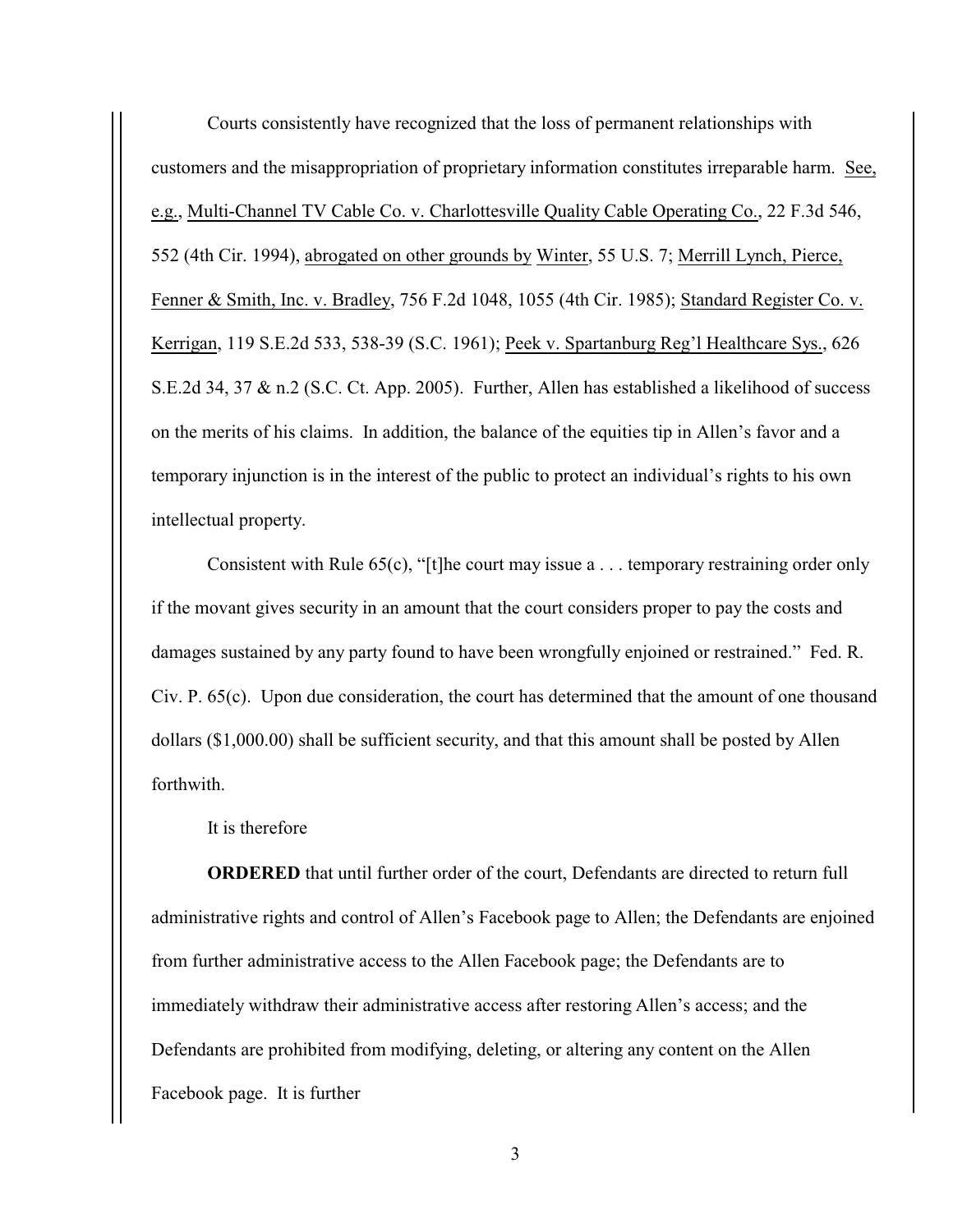Courts consistently have recognized that the loss of permanent relationships with customers and the misappropriation of proprietary information constitutes irreparable harm. See, e.g., Multi-Channel TV Cable Co. v. Charlottesville Quality Cable Operating Co., 22 F.3d 546, 552 (4th Cir. 1994), abrogated on other grounds by Winter, 55 U.S. 7; Merrill Lynch, Pierce, Fenner & Smith, Inc. v. Bradley, 756 F.2d 1048, 1055 (4th Cir. 1985); Standard Register Co. v. Kerrigan, 119 S.E.2d 533, 538-39 (S.C. 1961); Peek v. Spartanburg Reg'l Healthcare Sys., 626 S.E.2d 34, 37 & n.2 (S.C. Ct. App. 2005). Further, Allen has established a likelihood of success on the merits of his claims. In addition, the balance of the equities tip in Allen's favor and a temporary injunction is in the interest of the public to protect an individual's rights to his own intellectual property.

Consistent with Rule  $65(c)$ , "[t]he court may issue a . . . temporary restraining order only if the movant gives security in an amount that the court considers proper to pay the costs and damages sustained by any party found to have been wrongfully enjoined or restrained." Fed. R. Civ. P. 65(c). Upon due consideration, the court has determined that the amount of one thousand dollars (\$1,000.00) shall be sufficient security, and that this amount shall be posted by Allen forthwith.

It is therefore

**ORDERED** that until further order of the court, Defendants are directed to return full administrative rights and control of Allen's Facebook page to Allen; the Defendants are enjoined from further administrative access to the Allen Facebook page; the Defendants are to immediately withdraw their administrative access after restoring Allen's access; and the Defendants are prohibited from modifying, deleting, or altering any content on the Allen Facebook page. It is further